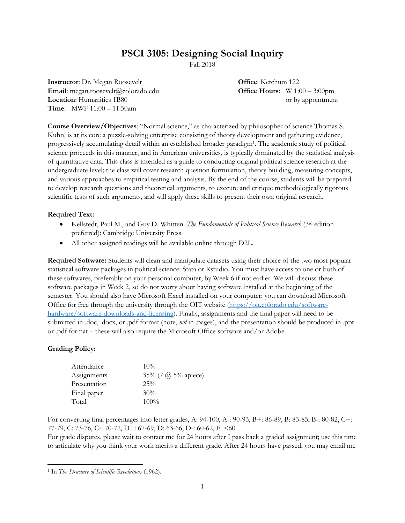# **PSCI 3105: Designing Social Inquiry**

Fall 2018

**Instructor**: Dr. Megan Roosevelt **Office**: Ketchum 122 **Email**: megan.roosevelt@colorado.edu **Office Hours**: W 1:00 – 3:00pm **Location**: Humanities 1B80 or by appointment **Time**: MWF 11:00 – 11:50am

**Course Overview/Objectives**: "Normal science," as characterized by philosopher of science Thomas S. Kuhn, is at its core a puzzle-solving enterprise consisting of theory development and gathering evidence, progressively accumulating detail within an established broader paradigm<sup>1</sup> . The academic study of political science proceeds in this manner, and in American universities, is typically dominated by the statistical analysis of quantitative data. This class is intended as a guide to conducting original political science research at the undergraduate level; the class will cover research question formulation, theory building, measuring concepts, and various approaches to empirical testing and analysis. By the end of the course, students will be prepared to develop research questions and theoretical arguments, to execute and critique methodologically rigorous scientific tests of such arguments, and will apply these skills to present their own original research.

## **Required Text:**

- Kellstedt, Paul M., and Guy D. Whitten. *The Fundamentals of Political Science Research* (3rd edition preferred): Cambridge University Press.
- All other assigned readings will be available online through D2L.

**Required Software:** Students will clean and manipulate datasets using their choice of the two most popular statistical software packages in political science: Stata or Rstudio. You must have access to one or both of these softwares, preferably on your personal computer, by Week 6 if not earlier. We will discuss these software packages in Week 2, so do not worry about having software installed at the beginning of the semester. You should also have Microsoft Excel installed on your computer: you can download Microsoft Office for free through the university through the OIT website [\(https://oit.colorado.edu/software](https://oit.colorado.edu/software-hardware/software-downloads-and-licensing)[hardware/software-downloads-and-licensing\)](https://oit.colorado.edu/software-hardware/software-downloads-and-licensing). Finally, assignments and the final paper will need to be submitted in .doc, .docx, or .pdf format (note, *not* in .pages), and the presentation should be produced in .ppt or .pdf format – these will also require the Microsoft Office software and/or Adobe.

## **Grading Policy:**

| Attendance   | $10\%$                     |
|--------------|----------------------------|
| Assignments  | 35% (7 $\omega$ 5% apiece) |
| Presentation | $25\%$                     |
| Final paper  | 30%                        |
| Total        | $100\%$                    |

For converting final percentages into letter grades, A: 94-100, A-: 90-93, B+: 86-89, B: 83-85, B-: 80-82, C+: 77-79, C: 73-76, C-: 70-72, D+: 67-69, D: 63-66, D-: 60-62, F: <60.

For grade disputes, please wait to contact me for 24 hours after I pass back a graded assignment; use this time to articulate why you think your work merits a different grade. After 24 hours have passed, you may email me

 $\overline{a}$ <sup>1</sup> In *The Structure of Scientific Revolutions* (1962).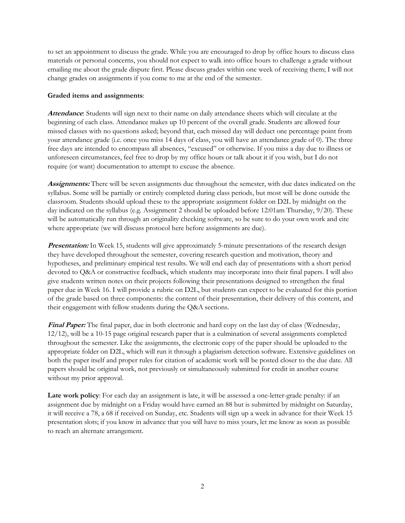to set an appointment to discuss the grade. While you are encouraged to drop by office hours to discuss class materials or personal concerns, you should not expect to walk into office hours to challenge a grade without emailing me about the grade dispute first. Please discuss grades within one week of receiving them; I will not change grades on assignments if you come to me at the end of the semester.

#### **Graded items and assignments**:

**Attendance**: Students will sign next to their name on daily attendance sheets which will circulate at the beginning of each class. Attendance makes up 10 percent of the overall grade. Students are allowed four missed classes with no questions asked; beyond that, each missed day will deduct one percentage point from your attendance grade (i.e. once you miss 14 days of class, you will have an attendance grade of 0). The three free days are intended to encompass all absences, "excused" or otherwise. If you miss a day due to illness or unforeseen circumstances, feel free to drop by my office hours or talk about it if you wish, but I do not require (or want) documentation to attempt to excuse the absence.

**Assignments:** There will be seven assignments due throughout the semester, with due dates indicated on the syllabus. Some will be partially or entirely completed during class periods, but most will be done outside the classroom. Students should upload these to the appropriate assignment folder on D2L by midnight on the day indicated on the syllabus (e.g. Assignment 2 should be uploaded before 12:01am Thursday, 9/20). These will be automatically run through an originality checking software, so be sure to do your own work and cite where appropriate (we will discuss protocol here before assignments are due).

**Presentation:** In Week 15, students will give approximately 5-minute presentations of the research design they have developed throughout the semester, covering research question and motivation, theory and hypotheses, and preliminary empirical test results. We will end each day of presentations with a short period devoted to Q&A or constructive feedback, which students may incorporate into their final papers. I will also give students written notes on their projects following their presentations designed to strengthen the final paper due in Week 16. I will provide a rubric on D2L, but students can expect to be evaluated for this portion of the grade based on three components: the content of their presentation, their delivery of this content, and their engagement with fellow students during the Q&A sections.

**Final Paper:** The final paper, due in both electronic and hard copy on the last day of class (Wednesday, 12/12), will be a 10-15 page original research paper that is a culmination of several assignments completed throughout the semester. Like the assignments, the electronic copy of the paper should be uploaded to the appropriate folder on D2L, which will run it through a plagiarism detection software. Extensive guidelines on both the paper itself and proper rules for citation of academic work will be posted closer to the due date. All papers should be original work, not previously or simultaneously submitted for credit in another course without my prior approval.

**Late work policy**: For each day an assignment is late, it will be assessed a one-letter-grade penalty: if an assignment due by midnight on a Friday would have earned an 88 but is submitted by midnight on Saturday, it will receive a 78, a 68 if received on Sunday, etc. Students will sign up a week in advance for their Week 15 presentation slots; if you know in advance that you will have to miss yours, let me know as soon as possible to reach an alternate arrangement.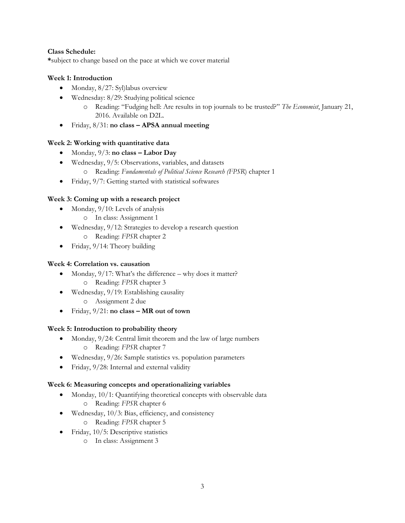## **Class Schedule:**

**\***subject to change based on the pace at which we cover material

# **Week 1: Introduction**

- Monday, 8/27: Syl)labus overview
- Wednesday: 8/29: Studying political science
	- o Reading: "Fudging hell: Are results in top journals to be trusted?" *The Economist*, January 21, 2016. Available on D2L.
- Friday, 8/31: **no class – APSA annual meeting**

# **Week 2: Working with quantitative data**

- Monday,  $9/3$ : **no class Labor Day**
- Wednesday, 9/5: Observations, variables, and datasets
	- o Reading: *Fundamentals of Political Science Research (FPSR*) chapter 1
- Friday, 9/7: Getting started with statistical softwares

# **Week 3: Coming up with a research project**

- Monday,  $9/10$ : Levels of analysis
	- o In class: Assignment 1
- Wednesday, 9/12: Strategies to develop a research question o Reading: *FPSR* chapter 2
- Friday, 9/14: Theory building

## **Week 4: Correlation vs. causation**

- Monday,  $9/17$ : What's the difference why does it matter? o Reading: *FPSR* chapter 3
- Wednesday, 9/19: Establishing causality
	- o Assignment 2 due
- Friday, 9/21: **no class – MR out of town**

## **Week 5: Introduction to probability theory**

- Monday,  $9/24$ : Central limit theorem and the law of large numbers o Reading: *FPSR* chapter 7
- Wednesday, 9/26: Sample statistics vs. population parameters
- Friday, 9/28: Internal and external validity

## **Week 6: Measuring concepts and operationalizing variables**

- Monday, 10/1: Quantifying theoretical concepts with observable data o Reading: *FPSR* chapter 6
- Wednesday, 10/3: Bias, efficiency, and consistency
	- o Reading: *FPSR* chapter 5
- Friday, 10/5: Descriptive statistics
	- o In class: Assignment 3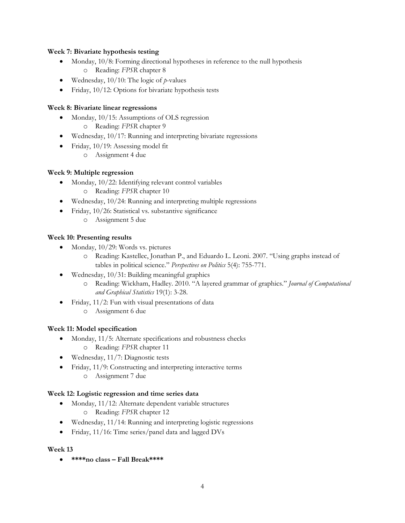## **Week 7: Bivariate hypothesis testing**

- Monday, 10/8: Forming directional hypotheses in reference to the null hypothesis o Reading: *FPSR* chapter 8
- Wednesday, 10/10: The logic of *p*-values
- Friday, 10/12: Options for bivariate hypothesis tests

# **Week 8: Bivariate linear regressions**

- Monday, 10/15: Assumptions of OLS regression
	- o Reading: *FPSR* chapter 9
- Wednesday, 10/17: Running and interpreting bivariate regressions
- Friday, 10/19: Assessing model fit
	- o Assignment 4 due

# **Week 9: Multiple regression**

- Monday, 10/22: Identifying relevant control variables
	- o Reading: *FPSR* chapter 10
- Wednesday, 10/24: Running and interpreting multiple regressions
- Friday, 10/26: Statistical vs. substantive significance
	- o Assignment 5 due

# **Week 10: Presenting results**

- Monday, 10/29: Words vs. pictures
	- o Reading: Kastellec, Jonathan P., and Eduardo L. Leoni. 2007. "Using graphs instead of tables in political science." *Perspectives on Politics* 5(4): 755-771.
- Wednesday, 10/31: Building meaningful graphics
	- o Reading: Wickham, Hadley. 2010. "A layered grammar of graphics." *Journal of Computational and Graphical Statistics* 19(1): 3-28.
- Friday, 11/2: Fun with visual presentations of data
	- o Assignment 6 due

# **Week 11: Model specification**

- Monday, 11/5: Alternate specifications and robustness checks o Reading: *FPSR* chapter 11
- Wednesday, 11/7: Diagnostic tests
- Friday, 11/9: Constructing and interpreting interactive terms
	- o Assignment 7 due

## **Week 12: Logistic regression and time series data**

- Monday, 11/12: Alternate dependent variable structures o Reading: *FPSR* chapter 12
- Wednesday, 11/14: Running and interpreting logistic regressions
- Friday, 11/16: Time series/panel data and lagged DVs

## **Week 13**

**\*\*\*\*no class – Fall Break\*\*\*\***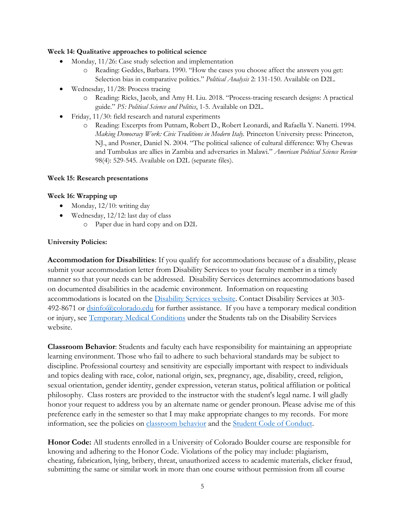## **Week 14: Qualitative approaches to political science**

- Monday, 11/26: Case study selection and implementation
	- o Reading: Geddes, Barbara. 1990. "How the cases you choose affect the answers you get: Selection bias in comparative politics." *Political Analysis* 2: 131-150. Available on D2L.
- Wednesday, 11/28: Process tracing
	- o Reading: Ricks, Jacob, and Amy H. Liu. 2018. "Process-tracing research designs: A practical guide." *PS: Political Science and Politics*, 1-5. Available on D2L.
- Friday, 11/30: field research and natural experiments
	- o Reading: Excerpts from Putnam, Robert D., Robert Leonardi, and Rafaella Y. Nanetti. 1994. *Making Democracy Work: Civic Traditions in Modern Italy.* Princeton University press: Princeton, NJ., and Posner, Daniel N. 2004. "The political salience of cultural difference: Why Chewas and Tumbukas are allies in Zambia and adversaries in Malawi." *American Political Science Review*  98(4): 529-545. Available on D2L (separate files).

#### **Week 15: Research presentations**

## **Week 16: Wrapping up**

- Monday, 12/10: writing day
- Wednesday, 12/12: last day of class
	- o Paper due in hard copy and on D2L

#### **University Policies:**

**Accommodation for Disabilities**: If you qualify for accommodations because of a disability, please submit your accommodation letter from Disability Services to your faculty member in a timely manner so that your needs can be addressed. Disability Services determines accommodations based on documented disabilities in the academic environment. Information on requesting accommodations is located on the [Disability Services website.](http://www.colorado.edu/disabilityservices/students) Contact Disability Services at 303- 492-8671 or  $\frac{dsinfo(\partial\Omega_{\text{colorado.edu}})}{dsinfo(\partial\Omega_{\text{colorado.edu}})}$  for further assistance. If you have a temporary medical condition or injury, see [Temporary Medical Conditions](http://www.colorado.edu/disabilityservices/students/temporary-medical-conditions) under the Students tab on the Disability Services website.

**Classroom Behavior**: Students and faculty each have responsibility for maintaining an appropriate learning environment. Those who fail to adhere to such behavioral standards may be subject to discipline. Professional courtesy and sensitivity are especially important with respect to individuals and topics dealing with race, color, national origin, sex, pregnancy, age, disability, creed, religion, sexual orientation, gender identity, gender expression, veteran status, political affiliation or political philosophy. Class rosters are provided to the instructor with the student's legal name. I will gladly honor your request to address you by an alternate name or gender pronoun. Please advise me of this preference early in the semester so that I may make appropriate changes to my records. For more information, see the policies on [classroom behavior](http://www.colorado.edu/policies/student-classroom-and-course-related-behavior) and the [Student Code of Conduct.](http://www.colorado.edu/osccr/)

**Honor Code:** All students enrolled in a University of Colorado Boulder course are responsible for knowing and adhering to the Honor Code. Violations of the policy may include: plagiarism, cheating, fabrication, lying, bribery, threat, unauthorized access to academic materials, clicker fraud, submitting the same or similar work in more than one course without permission from all course